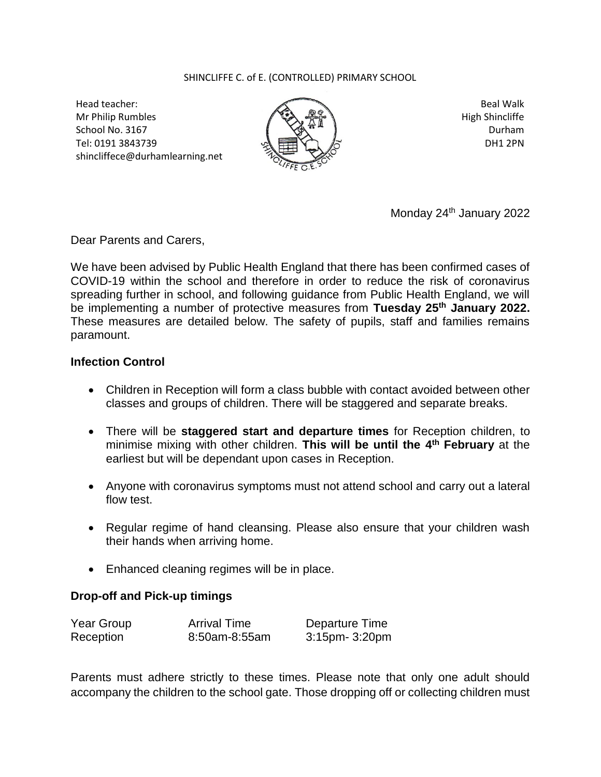## SHINCLIFFE C. of E. (CONTROLLED) PRIMARY SCHOOL

Head teacher: Mr Philip Rumbles School No. 3167 Tel: 0191 3843739 shincliffece@durhamlearning.net



Beal Walk High Shincliffe Durham DH1 2PN

Monday 24<sup>th</sup> January 2022

Dear Parents and Carers,

We have been advised by Public Health England that there has been confirmed cases of COVID-19 within the school and therefore in order to reduce the risk of coronavirus spreading further in school, and following guidance from Public Health England, we will be implementing a number of protective measures from **Tuesday 25th January 2022.** These measures are detailed below. The safety of pupils, staff and families remains paramount.

## **Infection Control**

- Children in Reception will form a class bubble with contact avoided between other classes and groups of children. There will be staggered and separate breaks.
- There will be **staggered start and departure times** for Reception children, to minimise mixing with other children. **This will be until the 4 th February** at the earliest but will be dependant upon cases in Reception.
- Anyone with coronavirus symptoms must not attend school and carry out a lateral flow test.
- Regular regime of hand cleansing. Please also ensure that your children wash their hands when arriving home.
- Enhanced cleaning regimes will be in place.

## **Drop-off and Pick-up timings**

| Year Group | <b>Arrival Time</b> | Departure Time |
|------------|---------------------|----------------|
| Reception  | 8:50am-8:55am       | 3:15pm- 3:20pm |

Parents must adhere strictly to these times. Please note that only one adult should accompany the children to the school gate. Those dropping off or collecting children must